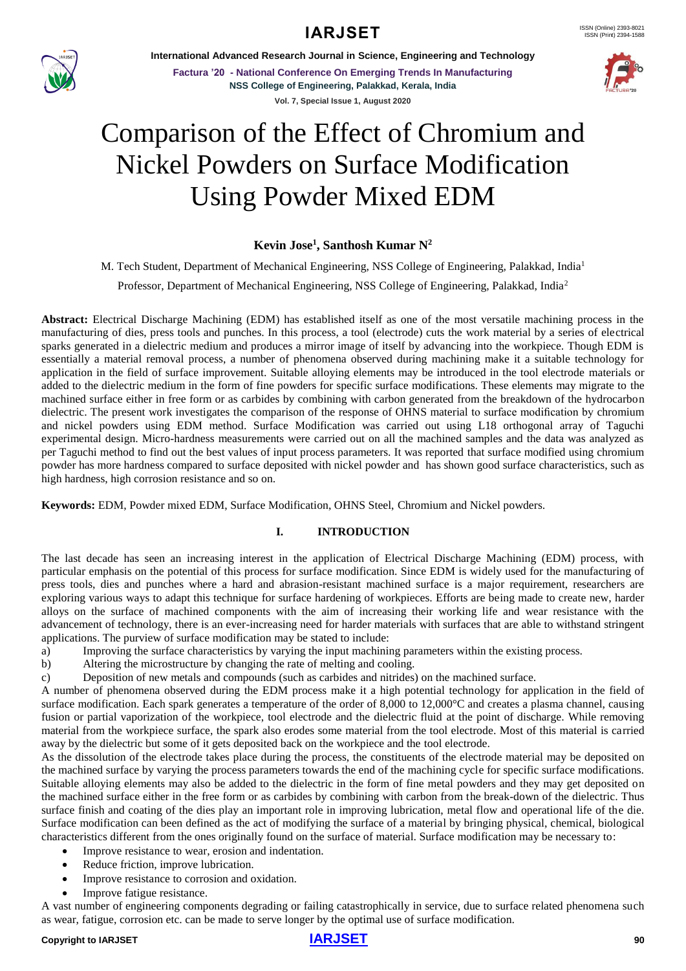

**International Advanced Research Journal in Science, Engineering and Technology**

**Factura '20 - National Conference On Emerging Trends In Manufacturing NSS College of Engineering, Palakkad, Kerala, India Vol. 7, Special Issue 1, August 2020**



# Comparison of the Effect of Chromium and Nickel Powders on Surface Modification Using Powder Mixed EDM

### **Kevin Jose<sup>1</sup> , Santhosh Kumar N<sup>2</sup>**

M. Tech Student, Department of Mechanical Engineering, NSS College of Engineering, Palakkad, India<sup>1</sup>

Professor, Department of Mechanical Engineering, NSS College of Engineering, Palakkad, India<sup>2</sup>

**Abstract:** Electrical Discharge Machining (EDM) has established itself as one of the most versatile machining process in the manufacturing of dies, press tools and punches. In this process, a tool (electrode) cuts the work material by a series of electrical sparks generated in a dielectric medium and produces a mirror image of itself by advancing into the workpiece. Though EDM is essentially a material removal process, a number of phenomena observed during machining make it a suitable technology for application in the field of surface improvement. Suitable alloying elements may be introduced in the tool electrode materials or added to the dielectric medium in the form of fine powders for specific surface modifications. These elements may migrate to the machined surface either in free form or as carbides by combining with carbon generated from the breakdown of the hydrocarbon dielectric. The present work investigates the comparison of the response of OHNS material to surface modification by chromium and nickel powders using EDM method. Surface Modification was carried out using L18 orthogonal array of Taguchi experimental design. Micro-hardness measurements were carried out on all the machined samples and the data was analyzed as per Taguchi method to find out the best values of input process parameters. It was reported that surface modified using chromium powder has more hardness compared to surface deposited with nickel powder and has shown good surface characteristics, such as high hardness, high corrosion resistance and so on.

**Keywords:** EDM, Powder mixed EDM, Surface Modification, OHNS Steel, Chromium and Nickel powders.

### **I. INTRODUCTION**

The last decade has seen an increasing interest in the application of Electrical Discharge Machining (EDM) process, with particular emphasis on the potential of this process for surface modification. Since EDM is widely used for the manufacturing of press tools, dies and punches where a hard and abrasion-resistant machined surface is a major requirement, researchers are exploring various ways to adapt this technique for surface hardening of workpieces. Efforts are being made to create new, harder alloys on the surface of machined components with the aim of increasing their working life and wear resistance with the advancement of technology, there is an ever-increasing need for harder materials with surfaces that are able to withstand stringent applications. The purview of surface modification may be stated to include:

- a) Improving the surface characteristics by varying the input machining parameters within the existing process.
- b) Altering the microstructure by changing the rate of melting and cooling.
- c) Deposition of new metals and compounds (such as carbides and nitrides) on the machined surface.

A number of phenomena observed during the EDM process make it a high potential technology for application in the field of surface modification. Each spark generates a temperature of the order of 8,000 to 12,000°C and creates a plasma channel, causing fusion or partial vaporization of the workpiece, tool electrode and the dielectric fluid at the point of discharge. While removing material from the workpiece surface, the spark also erodes some material from the tool electrode. Most of this material is carried away by the dielectric but some of it gets deposited back on the workpiece and the tool electrode.

As the dissolution of the electrode takes place during the process, the constituents of the electrode material may be deposited on the machined surface by varying the process parameters towards the end of the machining cycle for specific surface modifications. Suitable alloying elements may also be added to the dielectric in the form of fine metal powders and they may get deposited on the machined surface either in the free form or as carbides by combining with carbon from the break-down of the dielectric. Thus surface finish and coating of the dies play an important role in improving lubrication, metal flow and operational life of the die. Surface modification can been defined as the act of modifying the surface of a material by bringing physical, chemical, biological characteristics different from the ones originally found on the surface of material. Surface modification may be necessary to:

- Improve resistance to wear, erosion and indentation.
- Reduce friction, improve lubrication.
- Improve resistance to corrosion and oxidation.
- Improve fatigue resistance.

A vast number of engineering components degrading or failing catastrophically in service, due to surface related phenomena such as wear, fatigue, corrosion etc. can be made to serve longer by the optimal use of surface modification.

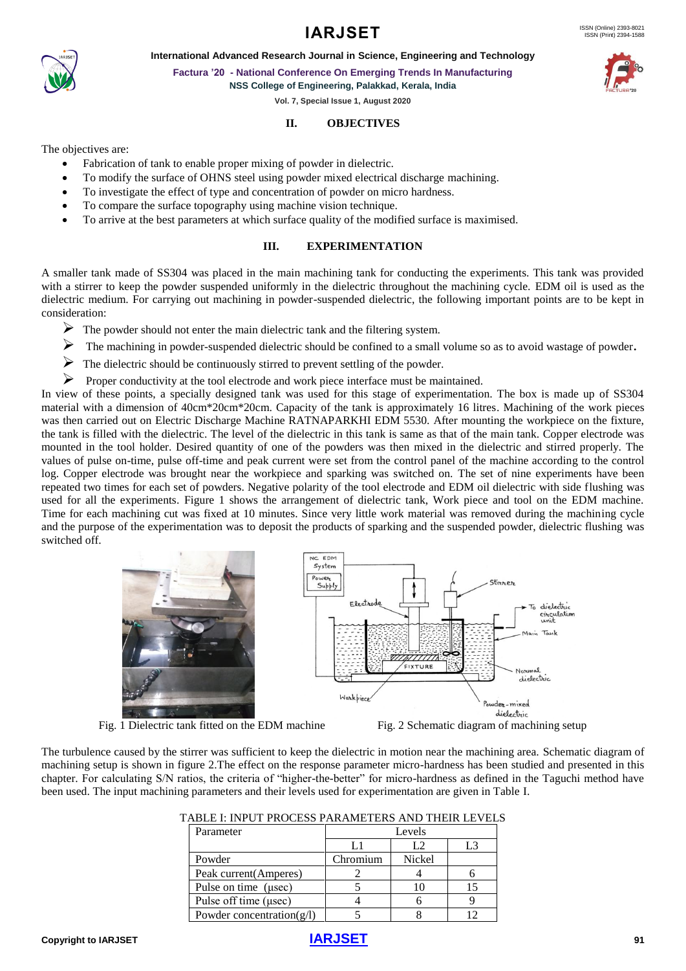



**Factura '20 - National Conference On Emerging Trends In Manufacturing**

**NSS College of Engineering, Palakkad, Kerala, India**

**Vol. 7, Special Issue 1, August 2020**

### **II. OBJECTIVES**

The objectives are:

- Fabrication of tank to enable proper mixing of powder in dielectric.
- To modify the surface of OHNS steel using powder mixed electrical discharge machining.
- To investigate the effect of type and concentration of powder on micro hardness.
- To compare the surface topography using machine vision technique.
- To arrive at the best parameters at which surface quality of the modified surface is maximised.

### **III. EXPERIMENTATION**

A smaller tank made of SS304 was placed in the main machining tank for conducting the experiments. This tank was provided with a stirrer to keep the powder suspended uniformly in the dielectric throughout the machining cycle. EDM oil is used as the dielectric medium. For carrying out machining in powder-suspended dielectric, the following important points are to be kept in consideration:

- $\triangleright$  The powder should not enter the main dielectric tank and the filtering system.
- ➢ The machining in powder-suspended dielectric should be confined to a small volume so as to avoid wastage of powder**.**
- ➢ The dielectric should be continuously stirred to prevent settling of the powder.
- ➢ Proper conductivity at the tool electrode and work piece interface must be maintained.

In view of these points, a specially designed tank was used for this stage of experimentation. The box is made up of SS304 material with a dimension of 40cm\*20cm\*20cm. Capacity of the tank is approximately 16 litres. Machining of the work pieces was then carried out on Electric Discharge Machine RATNAPARKHI EDM 5530. After mounting the workpiece on the fixture, the tank is filled with the dielectric. The level of the dielectric in this tank is same as that of the main tank. Copper electrode was mounted in the tool holder. Desired quantity of one of the powders was then mixed in the dielectric and stirred properly. The values of pulse on-time, pulse off-time and peak current were set from the control panel of the machine according to the control log. Copper electrode was brought near the workpiece and sparking was switched on. The set of nine experiments have been repeated two times for each set of powders. Negative polarity of the tool electrode and EDM oil dielectric with side flushing was used for all the experiments. Figure 1 shows the arrangement of dielectric tank, Work piece and tool on the EDM machine. Time for each machining cut was fixed at 10 minutes. Since very little work material was removed during the machining cycle and the purpose of the experimentation was to deposit the products of sparking and the suspended powder, dielectric flushing was switched off.



Fig. 1 Dielectric tank fitted on the EDM machine Fig. 2 Schematic diagram of machining setup

The turbulence caused by the stirrer was sufficient to keep the dielectric in motion near the machining area. Schematic diagram of machining setup is shown in figure 2.The effect on the response parameter micro-hardness has been studied and presented in this chapter. For calculating S/N ratios, the criteria of "higher-the-better" for micro-hardness as defined in the Taguchi method have been used. The input machining parameters and their levels used for experimentation are given in Table I.

| Parameter | r evels |  |  |
|-----------|---------|--|--|
|           |         |  |  |
|           |         |  |  |

TABLE I: INPUT PROCESS PARAMETERS AND THEIR LEVELS

| Powder                        | Chromium | Nickel |  |
|-------------------------------|----------|--------|--|
| Peak current (Amperes)        |          |        |  |
| Pulse on time (usec)          |          |        |  |
| Pulse off time (usec)         |          |        |  |
| Powder concentration( $g/l$ ) |          |        |  |





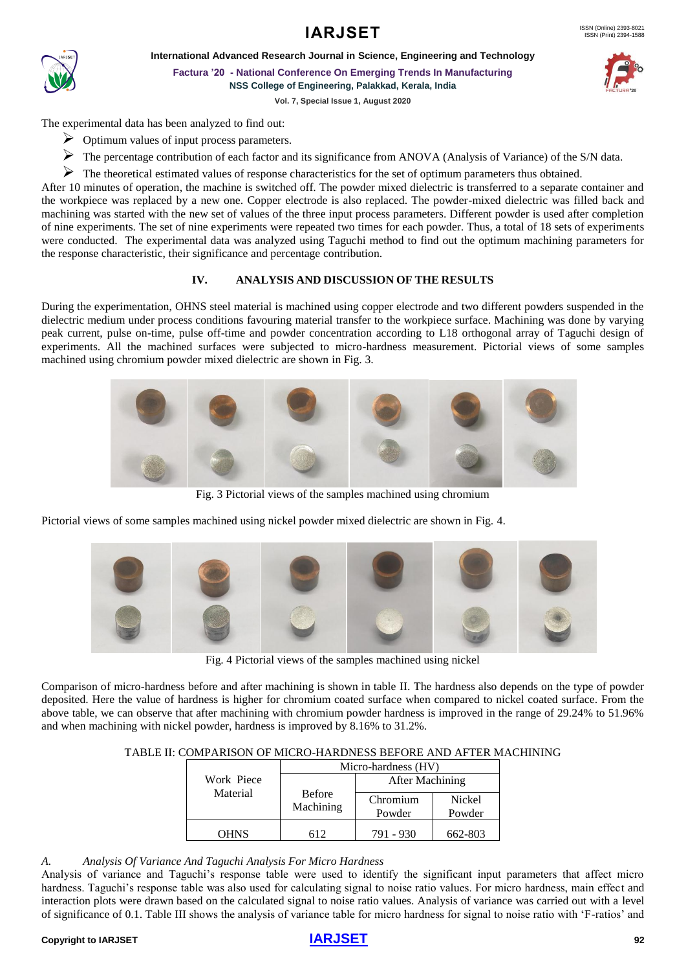



**International Advanced Research Journal in Science, Engineering and Technology**

**Factura '20 - National Conference On Emerging Trends In Manufacturing NSS College of Engineering, Palakkad, Kerala, India**

**Vol. 7, Special Issue 1, August 2020**

The experimental data has been analyzed to find out:

- ➢ Optimum values of input process parameters.
- ➢ The percentage contribution of each factor and its significance from ANOVA (Analysis of Variance) of the S/N data.
- ➢ The theoretical estimated values of response characteristics for the set of optimum parameters thus obtained.

After 10 minutes of operation, the machine is switched off. The powder mixed dielectric is transferred to a separate container and the workpiece was replaced by a new one. Copper electrode is also replaced. The powder-mixed dielectric was filled back and machining was started with the new set of values of the three input process parameters. Different powder is used after completion of nine experiments. The set of nine experiments were repeated two times for each powder. Thus, a total of 18 sets of experiments were conducted. The experimental data was analyzed using Taguchi method to find out the optimum machining parameters for the response characteristic, their significance and percentage contribution.

### **IV. ANALYSIS AND DISCUSSION OF THE RESULTS**

During the experimentation, OHNS steel material is machined using copper electrode and two different powders suspended in the dielectric medium under process conditions favouring material transfer to the workpiece surface. Machining was done by varying peak current, pulse on-time, pulse off-time and powder concentration according to L18 orthogonal array of Taguchi design of experiments. All the machined surfaces were subjected to micro-hardness measurement. Pictorial views of some samples machined using chromium powder mixed dielectric are shown in Fig. 3.



Fig. 3 Pictorial views of the samples machined using chromium

Pictorial views of some samples machined using nickel powder mixed dielectric are shown in Fig. 4.



Fig. 4 Pictorial views of the samples machined using nickel

Comparison of micro-hardness before and after machining is shown in table II. The hardness also depends on the type of powder deposited. Here the value of hardness is higher for chromium coated surface when compared to nickel coated surface. From the above table, we can observe that after machining with chromium powder hardness is improved in the range of 29.24% to 51.96% and when machining with nickel powder, hardness is improved by 8.16% to 31.2%.

### TABLE II: COMPARISON OF MICRO-HARDNESS BEFORE AND AFTER MACHINING

|                        |                            | Micro-hardness (HV) |                  |
|------------------------|----------------------------|---------------------|------------------|
| Work Piece<br>Material |                            | After Machining     |                  |
|                        | <b>Before</b><br>Machining | Chromium<br>Powder  | Nickel<br>Powder |
| OHNS                   | 612                        | 791 - 930           | 662-803          |

### *A. Analysis Of Variance And Taguchi Analysis For Micro Hardness*

Analysis of variance and Taguchi's response table were used to identify the significant input parameters that affect micro hardness. Taguchi's response table was also used for calculating signal to noise ratio values. For micro hardness, main effect and interaction plots were drawn based on the calculated signal to noise ratio values. Analysis of variance was carried out with a level of significance of 0.1. Table III shows the analysis of variance table for micro hardness for signal to noise ratio with 'F-ratios' and

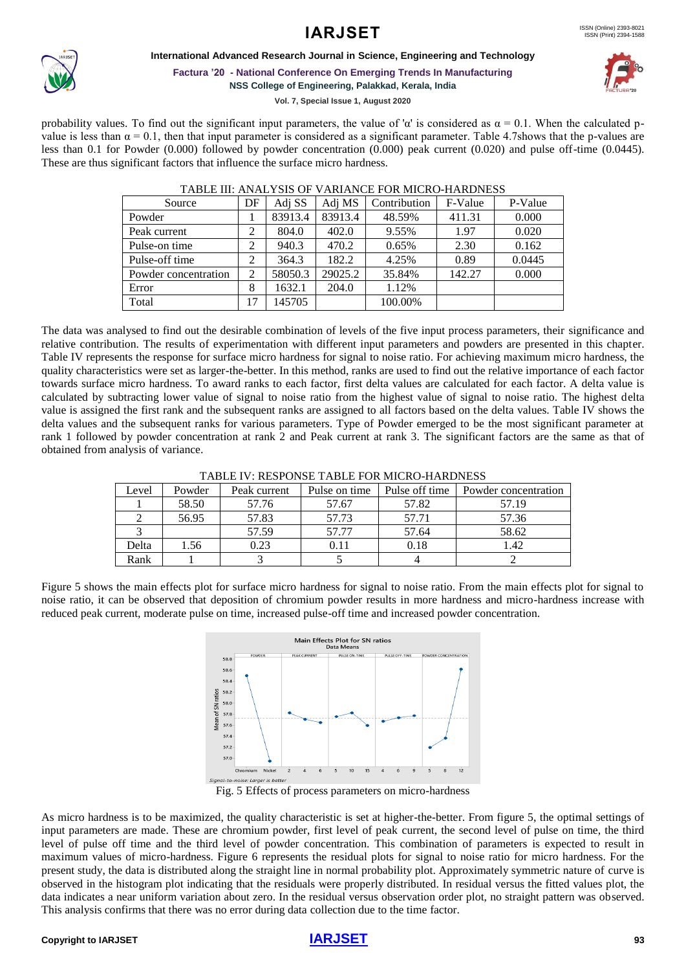### **International Advanced Research Journal in Science, Engineering and Technology**



**Factura '20 - National Conference On Emerging Trends In Manufacturing**

**NSS College of Engineering, Palakkad, Kerala, India**

**Vol. 7, Special Issue 1, August 2020**

probability values. To find out the significant input parameters, the value of 'α' is considered as  $\alpha = 0.1$ . When the calculated pvalue is less than  $\alpha = 0.1$ , then that input parameter is considered as a significant parameter. Table 4.7shows that the p-values are less than 0.1 for Powder (0.000) followed by powder concentration (0.000) peak current (0.020) and pulse off-time (0.0445). These are thus significant factors that influence the surface micro hardness.

| Source               | DF | Adj SS  | Adi MS  | Contribution | F-Value | P-Value |
|----------------------|----|---------|---------|--------------|---------|---------|
| Powder               |    | 83913.4 | 83913.4 | 48.59%       | 411.31  | 0.000   |
| Peak current         | 2  | 804.0   | 402.0   | 9.55%        | 1.97    | 0.020   |
| Pulse-on time        | 2  | 940.3   | 470.2   | 0.65%        | 2.30    | 0.162   |
| Pulse-off time       | 2  | 364.3   | 182.2   | 4.25%        | 0.89    | 0.0445  |
| Powder concentration | 2  | 58050.3 | 29025.2 | 35.84%       | 142.27  | 0.000   |
| Error                | 8  | 1632.1  | 204.0   | 1.12%        |         |         |
| Total                | 17 | 145705  |         | 100.00%      |         |         |

#### TABLE III: ANALYSIS OF VARIANCE FOR MICRO-HARDNESS

The data was analysed to find out the desirable combination of levels of the five input process parameters, their significance and relative contribution. The results of experimentation with different input parameters and powders are presented in this chapter. Table IV represents the response for surface micro hardness for signal to noise ratio. For achieving maximum micro hardness, the quality characteristics were set as larger-the-better. In this method, ranks are used to find out the relative importance of each factor towards surface micro hardness. To award ranks to each factor, first delta values are calculated for each factor. A delta value is calculated by subtracting lower value of signal to noise ratio from the highest value of signal to noise ratio. The highest delta value is assigned the first rank and the subsequent ranks are assigned to all factors based on the delta values. Table IV shows the delta values and the subsequent ranks for various parameters. Type of Powder emerged to be the most significant parameter at rank 1 followed by powder concentration at rank 2 and Peak current at rank 3. The significant factors are the same as that of obtained from analysis of variance.

| TADLE IV. KESPUNSE TADLE FÜR MILKU-HARDNESS |        |              |               |                |                      |
|---------------------------------------------|--------|--------------|---------------|----------------|----------------------|
| Level                                       | Powder | Peak current | Pulse on time | Pulse off time | Powder concentration |
|                                             | 58.50  | 57.76        | 57.67         | 57.82          | 57.19                |
|                                             | 56.95  | 57.83        | 57.73         | 57.71          | 57.36                |
|                                             |        | 57.59        | 57.77         | 57.64          | 58.62                |
| Delta                                       | 1.56   | 0.23         | 0.11          | 0.18           | 1.42                 |
| Rank                                        |        |              |               |                |                      |

#### TABLE IV: RESPONSE TABLE FOR MICRO-HARDNESS

Figure 5 shows the main effects plot for surface micro hardness for signal to noise ratio. From the main effects plot for signal to noise ratio, it can be observed that deposition of chromium powder results in more hardness and micro-hardness increase with reduced peak current, moderate pulse on time, increased pulse-off time and increased powder concentration.



Fig. 5 Effects of process parameters on micro-hardness

As micro hardness is to be maximized, the quality characteristic is set at higher-the-better. From figure 5, the optimal settings of input parameters are made. These are chromium powder, first level of peak current, the second level of pulse on time, the third level of pulse off time and the third level of powder concentration. This combination of parameters is expected to result in maximum values of micro-hardness. Figure 6 represents the residual plots for signal to noise ratio for micro hardness. For the present study, the data is distributed along the straight line in normal probability plot. Approximately symmetric nature of curve is observed in the histogram plot indicating that the residuals were properly distributed. In residual versus the fitted values plot, the data indicates a near uniform variation about zero. In the residual versus observation order plot, no straight pattern was observed. This analysis confirms that there was no error during data collection due to the time factor.

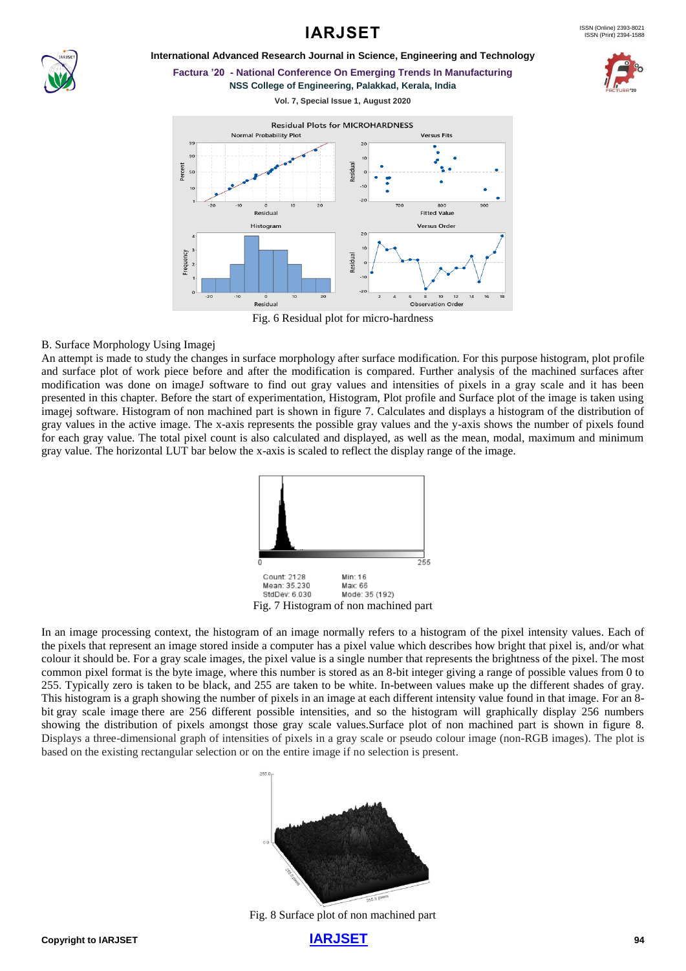### **International Advanced Research Journal in Science, Engineering and Technology**



**Factura '20 - National Conference On Emerging Trends In Manufacturing NSS College of Engineering, Palakkad, Kerala, India**

**Vol. 7, Special Issue 1, August 2020**



Fig. 6 Residual plot for micro-hardness

### B. Surface Morphology Using Imagej

An attempt is made to study the changes in surface morphology after surface modification. For this purpose histogram, plot profile and surface plot of work piece before and after the modification is compared. Further analysis of the machined surfaces after modification was done on imageJ software to find out gray values and intensities of pixels in a gray scale and it has been presented in this chapter. Before the start of experimentation, Histogram, Plot profile and Surface plot of the image is taken using imagej software. Histogram of non machined part is shown in figure 7. Calculates and displays a histogram of the distribution of gray values in the active image. The x-axis represents the possible gray values and the y-axis shows the number of pixels found for each gray value. The total pixel count is also calculated and displayed, as well as the mean, modal, maximum and minimum gray value. The horizontal LUT bar below the x-axis is scaled to reflect the display range of the image.



In an image processing context, the histogram of an image normally refers to a histogram of the [pixel intensity values.](https://homepages.inf.ed.ac.uk/rbf/HIPR2/value.htm) Each of the [pixels](https://homepages.inf.ed.ac.uk/rbf/HIPR2/pixel.htm) that represent an image stored inside a computer has a pixel value which describes how bright that pixel is, and/or what colour it should be. For a [gray scale images,](https://homepages.inf.ed.ac.uk/rbf/HIPR2/gryimage.htm) the pixel value is a single number that represents the brightness of the pixel. The most common pixel format is the byte image*,* where this number is stored as an 8-bit integer giving a range of possible values from 0 to 255. Typically zero is taken to be black, and 255 are taken to be white. In-between values make up the different shades of gray. This histogram is a graph showing the number of [pixels](https://homepages.inf.ed.ac.uk/rbf/HIPR2/pixel.htm) in an image at each different intensity value found in that image. For an 8 bit [gray scale image](https://homepages.inf.ed.ac.uk/rbf/HIPR2/gryimage.htm) there are 256 different possible intensities, and so the histogram will graphically display 256 numbers showing the distribution of pixels amongst those gray scale values.Surface plot of non machined part is shown in figure 8. Displays a three-dimensional graph of intensities of pixels in a gray scale or pseudo colour image (non-RGB images). The plot is based on the existing rectangular selection or on the entire image if no selection is present.



Fig. 8 Surface plot of non machined part

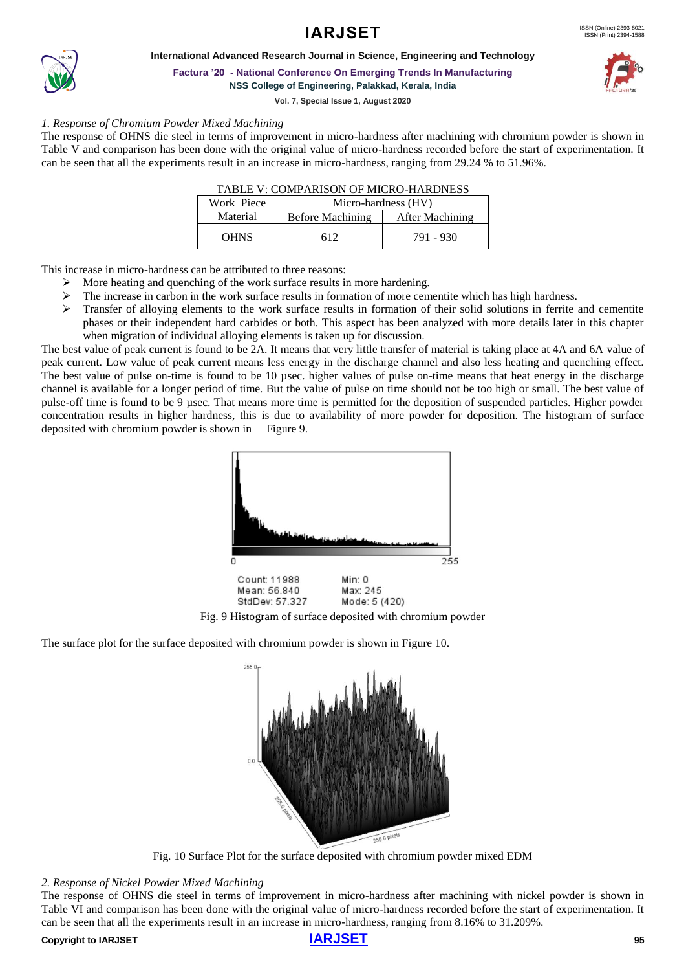



**Factura '20 - National Conference On Emerging Trends In Manufacturing NSS College of Engineering, Palakkad, Kerala, India**

**Vol. 7, Special Issue 1, August 2020**

### *1. Response of Chromium Powder Mixed Machining*

The response of OHNS die steel in terms of improvement in micro-hardness after machining with chromium powder is shown in Table V and comparison has been done with the original value of micro-hardness recorded before the start of experimentation. It can be seen that all the experiments result in an increase in micro-hardness, ranging from 29.24 % to 51.96%.

| TABLE V: COMPARISON OF MICRO-HARDNESS |  |
|---------------------------------------|--|
|---------------------------------------|--|

| Work Piece  | Micro-hardness (HV) |                 |  |
|-------------|---------------------|-----------------|--|
| Material    | Before Machining    | After Machining |  |
| <b>OHNS</b> | 612                 | 791 - 930       |  |

This increase in micro-hardness can be attributed to three reasons:

- ➢ More heating and quenching of the work surface results in more hardening.
- $\triangleright$  The increase in carbon in the work surface results in formation of more cementite which has high hardness.
- $\triangleright$  Transfer of alloying elements to the work surface results in formation of their solid solutions in ferrite and cementite phases or their independent hard carbides or both. This aspect has been analyzed with more details later in this chapter when migration of individual alloying elements is taken up for discussion.

The best value of peak current is found to be 2A. It means that very little transfer of material is taking place at 4A and 6A value of peak current. Low value of peak current means less energy in the discharge channel and also less heating and quenching effect. The best value of pulse on-time is found to be 10 usec. higher values of pulse on-time means that heat energy in the discharge channel is available for a longer period of time. But the value of pulse on time should not be too high or small. The best value of pulse-off time is found to be 9 µsec. That means more time is permitted for the deposition of suspended particles. Higher powder concentration results in higher hardness, this is due to availability of more powder for deposition. The histogram of surface deposited with chromium powder is shown in Figure 9.



Fig. 9 Histogram of surface deposited with chromium powder

The surface plot for the surface deposited with chromium powder is shown in Figure 10.



Fig. 10 Surface Plot for the surface deposited with chromium powder mixed EDM

*2. Response of Nickel Powder Mixed Machining*

The response of OHNS die steel in terms of improvement in micro-hardness after machining with nickel powder is shown in Table VI and comparison has been done with the original value of micro-hardness recorded before the start of experimentation. It can be seen that all the experiments result in an increase in micro-hardness, ranging from 8.16% to 31.209%.

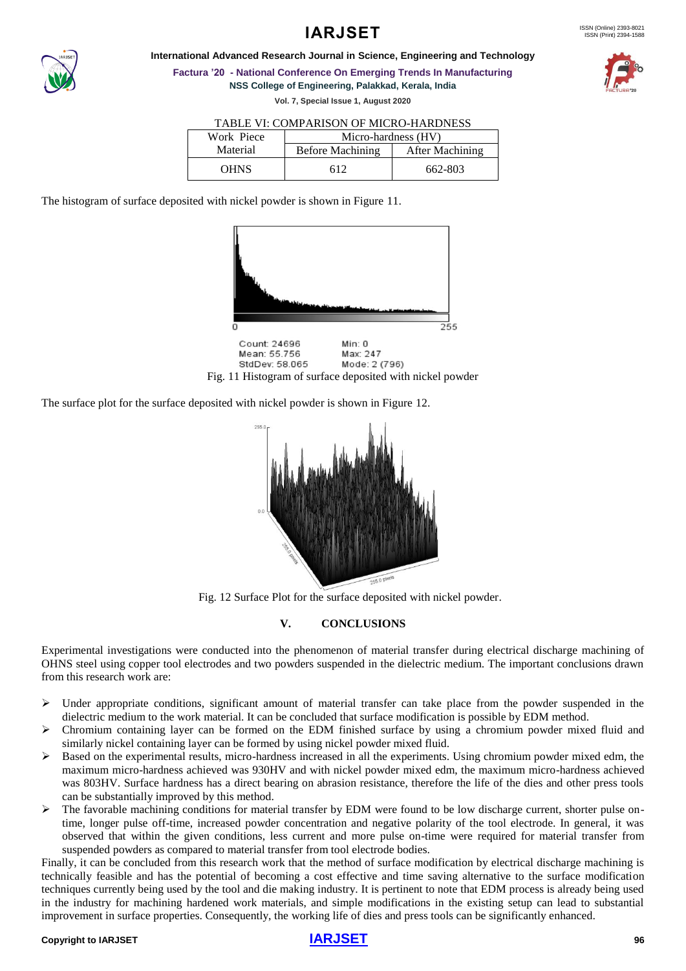

**International Advanced Research Journal in Science, Engineering and Technology**

**Factura '20 - National Conference On Emerging Trends In Manufacturing NSS College of Engineering, Palakkad, Kerala, India**

**Vol. 7, Special Issue 1, August 2020**

### TABLE VI: COMPARISON OF MICRO-HARDNESS

| Work Piece  | Micro-hardness (HV) |                 |  |
|-------------|---------------------|-----------------|--|
| Material    | Before Machining    | After Machining |  |
| <b>OHNS</b> |                     | 662-803         |  |

The histogram of surface deposited with nickel powder is shown in Figure 11.



The surface plot for the surface deposited with nickel powder is shown in Figure 12.



Fig. 12 Surface Plot for the surface deposited with nickel powder.

### **V. CONCLUSIONS**

Experimental investigations were conducted into the phenomenon of material transfer during electrical discharge machining of OHNS steel using copper tool electrodes and two powders suspended in the dielectric medium. The important conclusions drawn from this research work are:

- $\triangleright$  Under appropriate conditions, significant amount of material transfer can take place from the powder suspended in the dielectric medium to the work material. It can be concluded that surface modification is possible by EDM method.
- ➢ Chromium containing layer can be formed on the EDM finished surface by using a chromium powder mixed fluid and similarly nickel containing layer can be formed by using nickel powder mixed fluid.
- Based on the experimental results, micro-hardness increased in all the experiments. Using chromium powder mixed edm, the maximum micro-hardness achieved was 930HV and with nickel powder mixed edm, the maximum micro-hardness achieved was 803HV. Surface hardness has a direct bearing on abrasion resistance, therefore the life of the dies and other press tools can be substantially improved by this method.
- $\triangleright$  The favorable machining conditions for material transfer by EDM were found to be low discharge current, shorter pulse ontime, longer pulse off-time, increased powder concentration and negative polarity of the tool electrode. In general, it was observed that within the given conditions, less current and more pulse on-time were required for material transfer from suspended powders as compared to material transfer from tool electrode bodies.

Finally, it can be concluded from this research work that the method of surface modification by electrical discharge machining is technically feasible and has the potential of becoming a cost effective and time saving alternative to the surface modification techniques currently being used by the tool and die making industry. It is pertinent to note that EDM process is already being used in the industry for machining hardened work materials, and simple modifications in the existing setup can lead to substantial improvement in surface properties. Consequently, the working life of dies and press tools can be significantly enhanced.